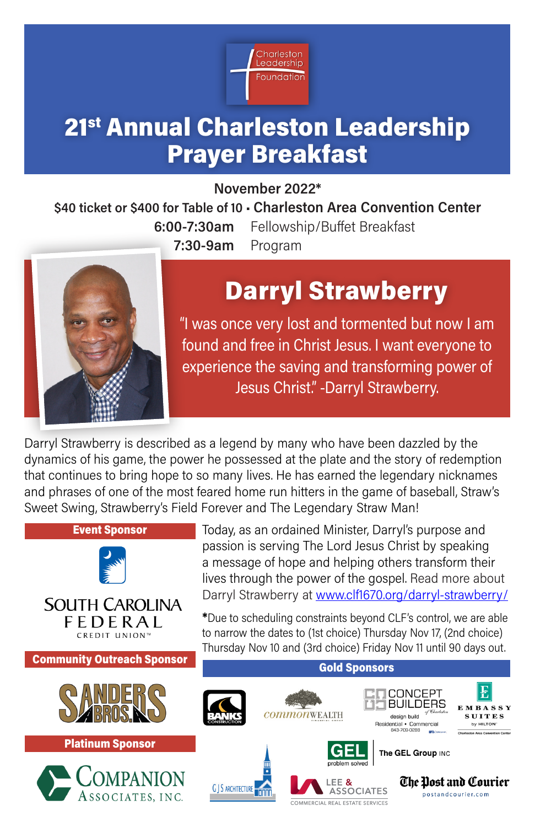

## 21<sup>st</sup> Annual Charleston Leadership Prayer Breakfast

November 2022\*

\$40 ticket or \$400 for Table of 10 • Charleston Area Convention Center

6:00-7:30am Fellowship/Buffet Breakfast 7:30-9am Program



# Darryl Strawberry

"I was once very lost and tormented but now I am found and free in Christ Jesus. I want everyone to experience the saving and transforming power of Jesus Christ." -Darryl Strawberry.

Darryl Strawberry is described as a legend by many who have been dazzled by the dynamics of his game, the power he possessed at the plate and the story of redemption that continues to bring hope to so many lives. He has earned the legendary nicknames and phrases of one of the most feared home run hitters in the game of baseball, Straw's Sweet Swing, Strawberry's Field Forever and The Legendary Straw Man!